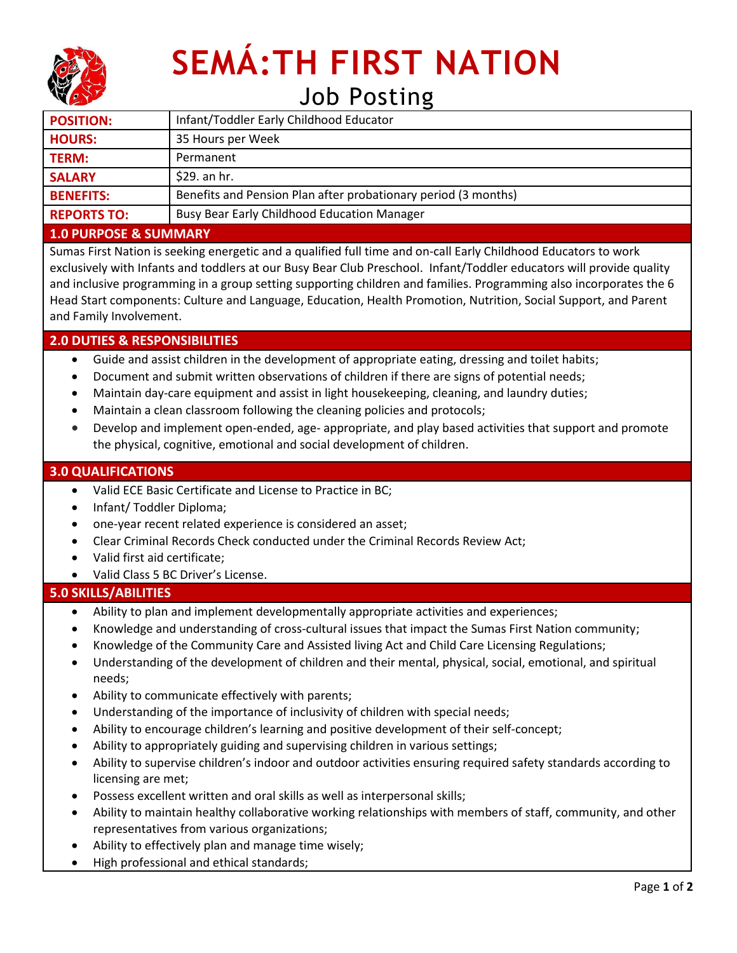

# **SEMÁ:TH FIRST NATION** Job Posting

| <b>POSITION:</b>   | Infant/Toddler Early Childhood Educator                        |
|--------------------|----------------------------------------------------------------|
| <b>HOURS:</b>      | 35 Hours per Week                                              |
| <b>TERM:</b>       | Permanent                                                      |
| <b>SALARY</b>      | $$29.$ an hr.                                                  |
| <b>BENEFITS:</b>   | Benefits and Pension Plan after probationary period (3 months) |
| <b>REPORTS TO:</b> | <b>Busy Bear Early Childhood Education Manager</b>             |

#### **1.0 PURPOSE & SUMMARY**

Sumas First Nation is seeking energetic and a qualified full time and on-call Early Childhood Educators to work exclusively with Infants and toddlers at our Busy Bear Club Preschool. Infant/Toddler educators will provide quality and inclusive programming in a group setting supporting children and families. Programming also incorporates the 6 Head Start components: Culture and Language, Education, Health Promotion, Nutrition, Social Support, and Parent and Family Involvement.

## **2.0 DUTIES & RESPONSIBILITIES**

- Guide and assist children in the development of appropriate eating, dressing and toilet habits;
- Document and submit written observations of children if there are signs of potential needs;
- Maintain day-care equipment and assist in light housekeeping, cleaning, and laundry duties;
- Maintain a clean classroom following the cleaning policies and protocols;
- Develop and implement open-ended, age- appropriate, and play based activities that support and promote the physical, cognitive, emotional and social development of children.

## **3.0 QUALIFICATIONS**

- Valid ECE Basic Certificate and License to Practice in BC;
- Infant/ Toddler Diploma;
- one-year recent related experience is considered an asset;
- Clear Criminal Records Check conducted under the Criminal Records Review Act;
- Valid first aid certificate;
- Valid Class 5 BC Driver's License.

## **5.0 SKILLS/ABILITIES**

- Ability to plan and implement developmentally appropriate activities and experiences;
- Knowledge and understanding of cross-cultural issues that impact the Sumas First Nation community;
- Knowledge of the Community Care and Assisted living Act and Child Care Licensing Regulations;
- Understanding of the development of children and their mental, physical, social, emotional, and spiritual needs;
- Ability to communicate effectively with parents;
- Understanding of the importance of inclusivity of children with special needs;
- Ability to encourage children's learning and positive development of their self-concept;
- Ability to appropriately guiding and supervising children in various settings;
- Ability to supervise children's indoor and outdoor activities ensuring required safety standards according to licensing are met;
- Possess excellent written and oral skills as well as interpersonal skills;
- Ability to maintain healthy collaborative working relationships with members of staff, community, and other representatives from various organizations;
- Ability to effectively plan and manage time wisely;
- High professional and ethical standards;